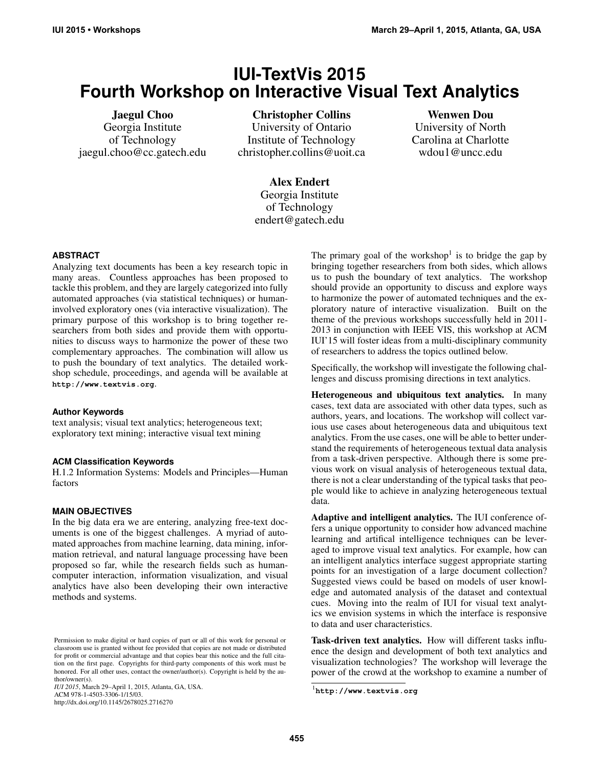# **IUI-TextVis 2015 Fourth Workshop on Interactive Visual Text Analytics**

Jaegul Choo Georgia Institute of Technology jaegul.choo@cc.gatech.edu

Christopher Collins University of Ontario Institute of Technology christopher.collins@uoit.ca

Wenwen Dou University of North Carolina at Charlotte wdou1@uncc.edu

Alex Endert Georgia Institute of Technology endert@gatech.edu

#### **ABSTRACT**

Analyzing text documents has been a key research topic in many areas. Countless approaches has been proposed to tackle this problem, and they are largely categorized into fully automated approaches (via statistical techniques) or humaninvolved exploratory ones (via interactive visualization). The primary purpose of this workshop is to bring together researchers from both sides and provide them with opportunities to discuss ways to harmonize the power of these two complementary approaches. The combination will allow us to push the boundary of text analytics. The detailed workshop schedule, proceedings, and agenda will be available at **<http://www.textvis.org>**.

#### **Author Keywords**

text analysis; visual text analytics; heterogeneous text; exploratory text mining; interactive visual text mining

#### **ACM Classification Keywords**

H.1.2 Information Systems: Models and Principles—Human factors

#### **MAIN OBJECTIVES**

In the big data era we are entering, analyzing free-text documents is one of the biggest challenges. A myriad of automated approaches from machine learning, data mining, information retrieval, and natural language processing have been proposed so far, while the research fields such as humancomputer interaction, information visualization, and visual analytics have also been developing their own interactive methods and systems.

*IUI 2015*, March 29–April 1, 2015, Atlanta, GA, USA. ACM 978-1-4503-3306-1/15/03.

http://dx.doi.org/10.1145/2678025.2716270

The primary goal of the workshop<sup>[1](#page-0-0)</sup> is to bridge the gap by bringing together researchers from both sides, which allows us to push the boundary of text analytics. The workshop should provide an opportunity to discuss and explore ways to harmonize the power of automated techniques and the exploratory nature of interactive visualization. Built on the theme of the previous workshops successfully held in 2011- 2013 in conjunction with IEEE VIS, this workshop at ACM IUI'15 will foster ideas from a multi-disciplinary community of researchers to address the topics outlined below.

Specifically, the workshop will investigate the following challenges and discuss promising directions in text analytics.

Heterogeneous and ubiquitous text analytics. In many cases, text data are associated with other data types, such as authors, years, and locations. The workshop will collect various use cases about heterogeneous data and ubiquitous text analytics. From the use cases, one will be able to better understand the requirements of heterogeneous textual data analysis from a task-driven perspective. Although there is some previous work on visual analysis of heterogeneous textual data, there is not a clear understanding of the typical tasks that people would like to achieve in analyzing heterogeneous textual data.

Adaptive and intelligent analytics. The IUI conference offers a unique opportunity to consider how advanced machine learning and artifical intelligence techniques can be leveraged to improve visual text analytics. For example, how can an intelligent analytics interface suggest appropriate starting points for an investigation of a large document collection? Suggested views could be based on models of user knowledge and automated analysis of the dataset and contextual cues. Moving into the realm of IUI for visual text analytics we envision systems in which the interface is responsive to data and user characteristics.

Task-driven text analytics. How will different tasks influence the design and development of both text analytics and visualization technologies? The workshop will leverage the power of the crowd at the workshop to examine a number of

Permission to make digital or hard copies of part or all of this work for personal or classroom use is granted without fee provided that copies are not made or distributed for profit or commercial advantage and that copies bear this notice and the full citation on the first page. Copyrights for third-party components of this work must be honored. For all other uses, contact the owner/author(s). Copyright is held by the author/owner(s).

<span id="page-0-0"></span><sup>1</sup> **<http://www.textvis.org>**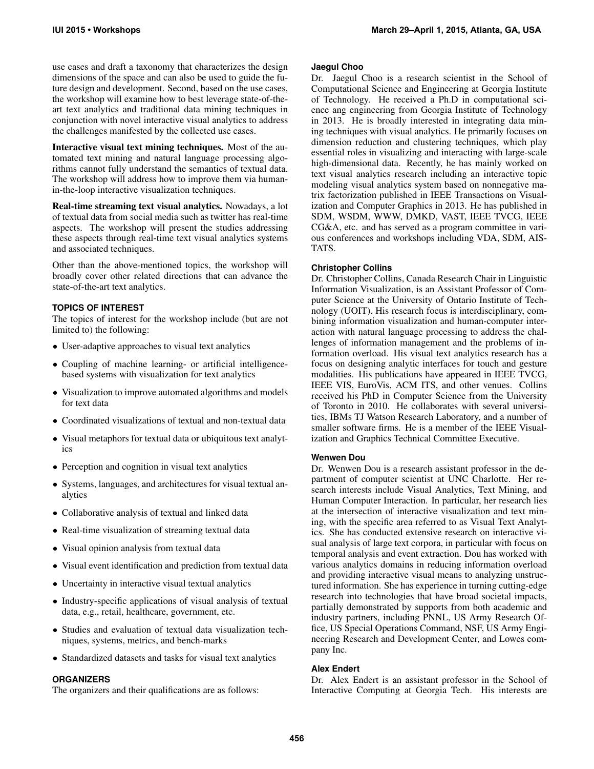use cases and draft a taxonomy that characterizes the design dimensions of the space and can also be used to guide the future design and development. Second, based on the use cases, the workshop will examine how to best leverage state-of-theart text analytics and traditional data mining techniques in conjunction with novel interactive visual analytics to address the challenges manifested by the collected use cases.

Interactive visual text mining techniques. Most of the automated text mining and natural language processing algorithms cannot fully understand the semantics of textual data. The workshop will address how to improve them via humanin-the-loop interactive visualization techniques.

Real-time streaming text visual analytics. Nowadays, a lot of textual data from social media such as twitter has real-time aspects. The workshop will present the studies addressing these aspects through real-time text visual analytics systems and associated techniques.

Other than the above-mentioned topics, the workshop will broadly cover other related directions that can advance the state-of-the-art text analytics.

# **TOPICS OF INTEREST**

The topics of interest for the workshop include (but are not limited to) the following:

- User-adaptive approaches to visual text analytics
- Coupling of machine learning- or artificial intelligencebased systems with visualization for text analytics
- Visualization to improve automated algorithms and models for text data
- Coordinated visualizations of textual and non-textual data
- Visual metaphors for textual data or ubiquitous text analytics
- Perception and cognition in visual text analytics
- Systems, languages, and architectures for visual textual analytics
- Collaborative analysis of textual and linked data
- Real-time visualization of streaming textual data
- Visual opinion analysis from textual data
- Visual event identification and prediction from textual data
- Uncertainty in interactive visual textual analytics
- Industry-specific applications of visual analysis of textual data, e.g., retail, healthcare, government, etc.
- Studies and evaluation of textual data visualization techniques, systems, metrics, and bench-marks
- Standardized datasets and tasks for visual text analytics

## **ORGANIZERS**

The organizers and their qualifications are as follows:

# **Jaegul Choo**

Dr. Jaegul Choo is a research scientist in the School of Computational Science and Engineering at Georgia Institute of Technology. He received a Ph.D in computational science ang engineering from Georgia Institute of Technology in 2013. He is broadly interested in integrating data mining techniques with visual analytics. He primarily focuses on dimension reduction and clustering techniques, which play essential roles in visualizing and interacting with large-scale high-dimensional data. Recently, he has mainly worked on text visual analytics research including an interactive topic modeling visual analytics system based on nonnegative matrix factorization published in IEEE Transactions on Visualization and Computer Graphics in 2013. He has published in SDM, WSDM, WWW, DMKD, VAST, IEEE TVCG, IEEE CG&A, etc. and has served as a program committee in various conferences and workshops including VDA, SDM, AIS-TATS.

# **Christopher Collins**

Dr. Christopher Collins, Canada Research Chair in Linguistic Information Visualization, is an Assistant Professor of Computer Science at the University of Ontario Institute of Technology (UOIT). His research focus is interdisciplinary, combining information visualization and human-computer interaction with natural language processing to address the challenges of information management and the problems of information overload. His visual text analytics research has a focus on designing analytic interfaces for touch and gesture modalities. His publications have appeared in IEEE TVCG, IEEE VIS, EuroVis, ACM ITS, and other venues. Collins received his PhD in Computer Science from the University of Toronto in 2010. He collaborates with several universities, IBMs TJ Watson Research Laboratory, and a number of smaller software firms. He is a member of the IEEE Visualization and Graphics Technical Committee Executive.

## **Wenwen Dou**

Dr. Wenwen Dou is a research assistant professor in the department of computer scientist at UNC Charlotte. Her research interests include Visual Analytics, Text Mining, and Human Computer Interaction. In particular, her research lies at the intersection of interactive visualization and text mining, with the specific area referred to as Visual Text Analytics. She has conducted extensive research on interactive visual analysis of large text corpora, in particular with focus on temporal analysis and event extraction. Dou has worked with various analytics domains in reducing information overload and providing interactive visual means to analyzing unstructured information. She has experience in turning cutting-edge research into technologies that have broad societal impacts, partially demonstrated by supports from both academic and industry partners, including PNNL, US Army Research Office, US Special Operations Command, NSF, US Army Engineering Research and Development Center, and Lowes company Inc.

## **Alex Endert**

Dr. Alex Endert is an assistant professor in the School of Interactive Computing at Georgia Tech. His interests are